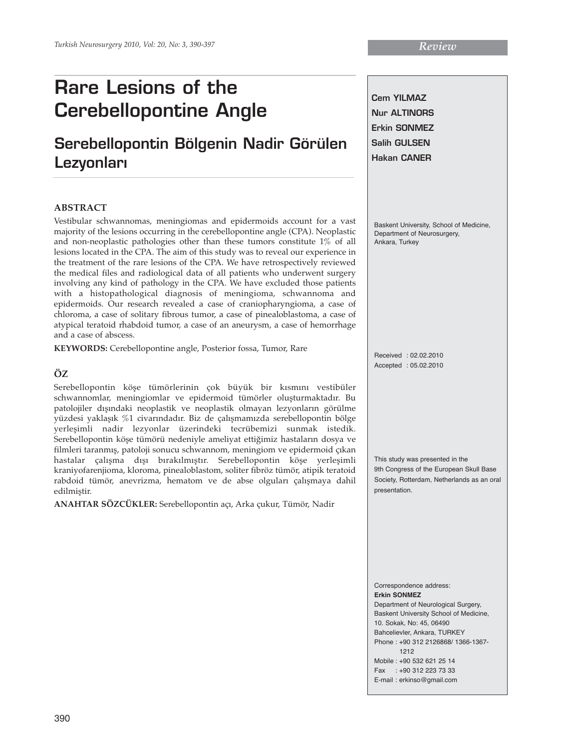# **Serebellopontin Bölgenin Nadir Görülen Lezyonlar›**

## **ABSTRACT**

Vestibular schwannomas, meningiomas and epidermoids account for a vast majority of the lesions occurring in the cerebellopontine angle (CPA). Neoplastic and non-neoplastic pathologies other than these tumors constitute 1% of all lesions located in the CPA. The aim of this study was to reveal our experience in the treatment of the rare lesions of the CPA. We have retrospectively reviewed the medical files and radiological data of all patients who underwent surgery involving any kind of pathology in the CPA. We have excluded those patients with a histopathological diagnosis of meningioma, schwannoma and epidermoids. Our research revealed a case of craniopharyngioma, a case of chloroma, a case of solitary fibrous tumor, a case of pinealoblastoma, a case of atypical teratoid rhabdoid tumor, a case of an aneurysm, a case of hemorrhage and a case of abscess.

**KEYWORDS:** Cerebellopontine angle, Posterior fossa, Tumor, Rare

# **ÖZ**

Serebellopontin köşe tümörlerinin çok büyük bir kısmını vestibüler schwannomlar, meningiomlar ve epidermoid tümörler oluşturmaktadır. Bu patolojiler dışındaki neoplastik ve neoplastik olmayan lezyonların görülme yüzdesi yaklaşık %1 civarındadır. Biz de çalışmamızda serebellopontin bölge yerleşimli nadir lezyonlar üzerindeki tecrübemizi sunmak istedik. Serebellopontin köşe tümörü nedeniyle ameliyat ettiğimiz hastaların dosya ve filmleri taranmış, patoloji sonucu schwannom, meningiom ve epidermoid çıkan hastalar çalışma dışı bırakılmıştır. Serebellopontin köşe yerleşimli kraniyofarenjioma, kloroma, pinealoblastom, soliter fibröz tümör, atipik teratoid rabdoid tümör, anevrizma, hematom ve de abse olguları çalışmaya dahil edilmiştir.

**ANAHTAR SÖZCÜKLER:** Serebellopontin açı, Arka çukur, Tümör, Nadir

**Cem YILMAZ Nur ALTINORS Erkin SONMEZ Salih GULSEN Hakan CANER**

Baskent University, School of Medicine, Department of Neurosurgery Ankara, Turkey

Received : 02.02.2010 Accepted : 05.02.2010

This study was presented in the 9th Congress of the European Skull Base Society, Rotterdam, Netherlands as an oral presentation.

Correspondence address: **Erkin SONMEZ** 

Department of Neurological Surgery, Baskent University School of Medicine, 10. Sokak, No: 45, 06490 Bahcelievler, Ankara, TURKEY Phone : +90 312 2126868/ 1366-1367- 1212 Mobile : +90 532 621 25 14 Fax : +90 312 223 73 33 E-mail : erkinso@gmail.com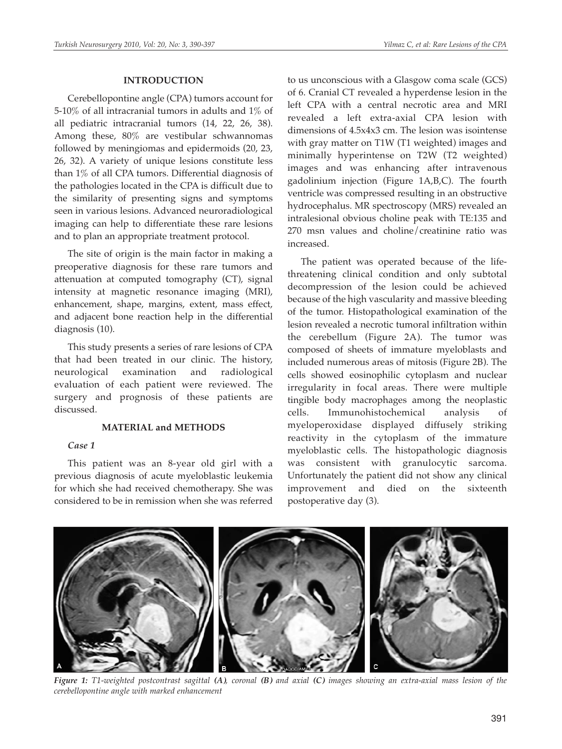### **INTRODUCTION**

Cerebellopontine angle (CPA) tumors account for 5-10% of all intracranial tumors in adults and 1% of all pediatric intracranial tumors (14, 22, 26, 38). Among these, 80% are vestibular schwannomas followed by meningiomas and epidermoids (20, 23, 26, 32). A variety of unique lesions constitute less than 1% of all CPA tumors. Differential diagnosis of the pathologies located in the CPA is difficult due to the similarity of presenting signs and symptoms seen in various lesions. Advanced neuroradiological imaging can help to differentiate these rare lesions and to plan an appropriate treatment protocol.

The site of origin is the main factor in making a preoperative diagnosis for these rare tumors and attenuation at computed tomography (CT), signal intensity at magnetic resonance imaging (MRI), enhancement, shape, margins, extent, mass effect, and adjacent bone reaction help in the differential diagnosis (10).

This study presents a series of rare lesions of CPA that had been treated in our clinic. The history, neurological examination and radiological evaluation of each patient were reviewed. The surgery and prognosis of these patients are discussed.

## **MATERIAL and METHODS**

# *Case 1*

This patient was an 8-year old girl with a previous diagnosis of acute myeloblastic leukemia for which she had received chemotherapy. She was considered to be in remission when she was referred

to us unconscious with a Glasgow coma scale (GCS) of 6. Cranial CT revealed a hyperdense lesion in the left CPA with a central necrotic area and MRI revealed a left extra-axial CPA lesion with dimensions of 4.5x4x3 cm. The lesion was isointense with gray matter on T1W (T1 weighted) images and minimally hyperintense on T2W (T2 weighted) images and was enhancing after intravenous gadolinium injection (Figure 1A,B,C). The fourth ventricle was compressed resulting in an obstructive hydrocephalus. MR spectroscopy (MRS) revealed an intralesional obvious choline peak with TE:135 and 270 msn values and choline/creatinine ratio was increased.

The patient was operated because of the lifethreatening clinical condition and only subtotal decompression of the lesion could be achieved because of the high vascularity and massive bleeding of the tumor. Histopathological examination of the lesion revealed a necrotic tumoral infiltration within the cerebellum (Figure 2A). The tumor was composed of sheets of immature myeloblasts and included numerous areas of mitosis (Figure 2B). The cells showed eosinophilic cytoplasm and nuclear irregularity in focal areas. There were multiple tingible body macrophages among the neoplastic cells. Immunohistochemical analysis of myeloperoxidase displayed diffusely striking reactivity in the cytoplasm of the immature myeloblastic cells. The histopathologic diagnosis was consistent with granulocytic sarcoma. Unfortunately the patient did not show any clinical improvement and died on the sixteenth postoperative day (3).



*Figure 1: T1-weighted postcontrast sagittal (A), coronal (B) and axial (C) images showing an extra-axial mass lesion of the cerebellopontine angle with marked enhancement*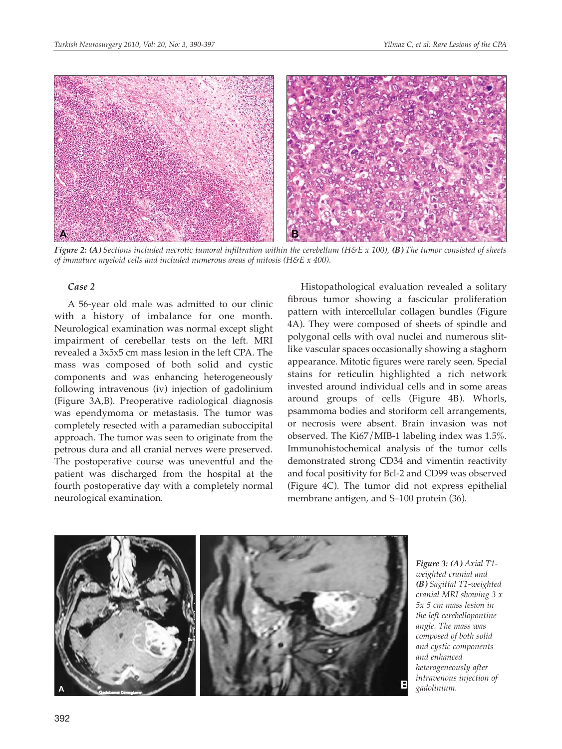

*Figure 2: (A) Sections included necrotic tumoral infiltration within the cerebellum (H&E x 100), (B) The tumor consisted of sheets of immature myeloid cells and included numerous areas of mitosis (H&E x 400).*

#### *Case 2*

A 56-year old male was admitted to our clinic with a history of imbalance for one month. Neurological examination was normal except slight impairment of cerebellar tests on the left. MRI revealed a 3x5x5 cm mass lesion in the left CPA. The mass was composed of both solid and cystic components and was enhancing heterogeneously following intravenous (iv) injection of gadolinium (Figure 3A,B). Preoperative radiological diagnosis was ependymoma or metastasis. The tumor was completely resected with a paramedian suboccipital approach. The tumor was seen to originate from the petrous dura and all cranial nerves were preserved. The postoperative course was uneventful and the patient was discharged from the hospital at the fourth postoperative day with a completely normal neurological examination.

Histopathological evaluation revealed a solitary fibrous tumor showing a fascicular proliferation pattern with intercellular collagen bundles (Figure 4A). They were composed of sheets of spindle and polygonal cells with oval nuclei and numerous slitlike vascular spaces occasionally showing a staghorn appearance. Mitotic figures were rarely seen. Special stains for reticulin highlighted a rich network invested around individual cells and in some areas around groups of cells (Figure 4B). Whorls, psammoma bodies and storiform cell arrangements, or necrosis were absent. Brain invasion was not observed. The Ki67/MIB-1 labeling index was 1.5%. Immunohistochemical analysis of the tumor cells demonstrated strong CD34 and vimentin reactivity and focal positivity for Bcl-2 and CD99 was observed (Figure 4C). The tumor did not express epithelial membrane antigen, and S–100 protein (36).



*Figure 3: (A) Axial T1 weighted cranial and (B) Sagittal T1-weighted cranial MRI showing 3 x 5x 5 cm mass lesion in the left cerebellopontine angle. The mass was composed of both solid and cystic components and enhanced heterogeneously after intravenous injection of gadolinium.*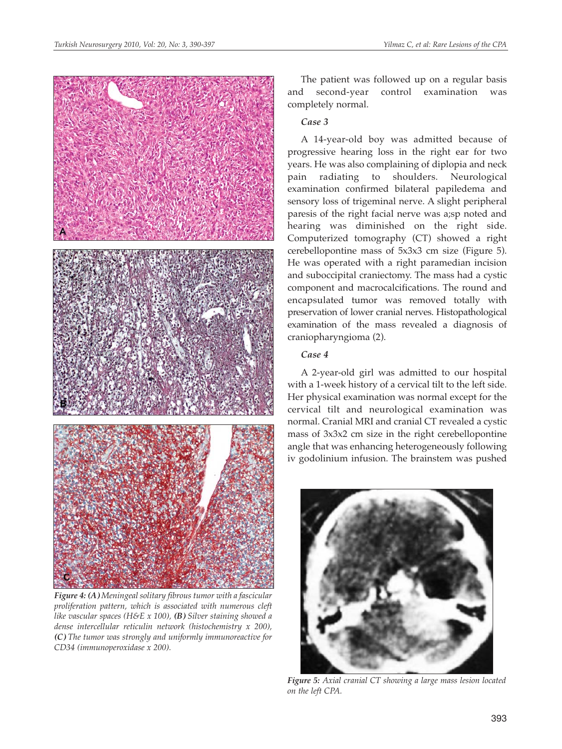

*Figure 4: (A) Meningeal solitary fibrous tumor with a fascicular proliferation pattern, which is associated with numerous cleft like vascular spaces (H&E x 100), (B) Silver staining showed a dense intercellular reticulin network (histochemistry x 200), (C) The tumor was strongly and uniformly immunoreactive for CD34 (immunoperoxidase x 200).*

The patient was followed up on a regular basis and second-year control examination was completely normal.

# *Case 3*

A 14-year-old boy was admitted because of progressive hearing loss in the right ear for two years. He was also complaining of diplopia and neck pain radiating to shoulders. Neurological examination confirmed bilateral papiledema and sensory loss of trigeminal nerve. A slight peripheral paresis of the right facial nerve was a;sp noted and hearing was diminished on the right side. Computerized tomography (CT) showed a right cerebellopontine mass of 5x3x3 cm size (Figure 5). He was operated with a right paramedian incision and suboccipital craniectomy. The mass had a cystic component and macrocalcifications. The round and encapsulated tumor was removed totally with preservation of lower cranial nerves. Histopathological examination of the mass revealed a diagnosis of craniopharyngioma (2).

# *Case 4*

A 2-year-old girl was admitted to our hospital with a 1-week history of a cervical tilt to the left side. Her physical examination was normal except for the cervical tilt and neurological examination was normal. Cranial MRI and cranial CT revealed a cystic mass of 3x3x2 cm size in the right cerebellopontine angle that was enhancing heterogeneously following iv godolinium infusion. The brainstem was pushed



*Figure 5: Axial cranial CT showing a large mass lesion located on the left CPA.*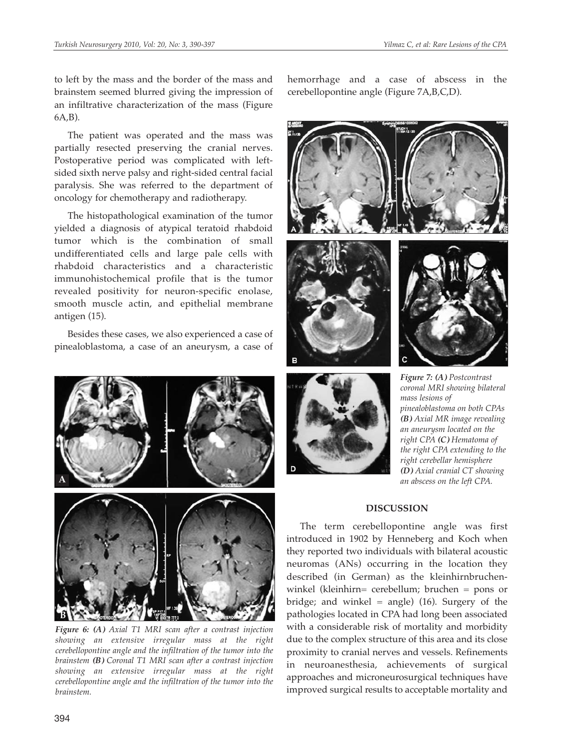to left by the mass and the border of the mass and brainstem seemed blurred giving the impression of an infiltrative characterization of the mass (Figure 6A,B).

The patient was operated and the mass was partially resected preserving the cranial nerves. Postoperative period was complicated with leftsided sixth nerve palsy and right-sided central facial paralysis. She was referred to the department of oncology for chemotherapy and radiotherapy.

The histopathological examination of the tumor yielded a diagnosis of atypical teratoid rhabdoid tumor which is the combination of small undifferentiated cells and large pale cells with rhabdoid characteristics and a characteristic immunohistochemical profile that is the tumor revealed positivity for neuron-specific enolase, smooth muscle actin, and epithelial membrane antigen (15).

Besides these cases, we also experienced a case of pinealoblastoma, a case of an aneurysm, a case of



*Figure 6: (A) Axial T1 MRI scan after a contrast injection showing an extensive irregular mass at the right cerebellopontine angle and the infiltration of the tumor into the brainstem (B) Coronal T1 MRI scan after a contrast injection showing an extensive irregular mass at the right cerebellopontine angle and the infiltration of the tumor into the brainstem.*

hemorrhage and a case of abscess in the cerebellopontine angle (Figure 7A,B,C,D).





*coronal MRI showing bilateral mass lesions of pinealoblastoma on both CPAs (B) Axial MR image revealing an aneurysm located on the right CPA (C) Hematoma of the right CPA extending to the right cerebellar hemisphere (D) Axial cranial CT showing an abscess on the left CPA.*

# **DISCUSSION**

The term cerebellopontine angle was first introduced in 1902 by Henneberg and Koch when they reported two individuals with bilateral acoustic neuromas (ANs) occurring in the location they described (in German) as the kleinhirnbruchenwinkel (kleinhirn= cerebellum; bruchen = pons or bridge; and winkel = angle)  $(16)$ . Surgery of the pathologies located in CPA had long been associated with a considerable risk of mortality and morbidity due to the complex structure of this area and its close proximity to cranial nerves and vessels. Refinements in neuroanesthesia, achievements of surgical approaches and microneurosurgical techniques have improved surgical results to acceptable mortality and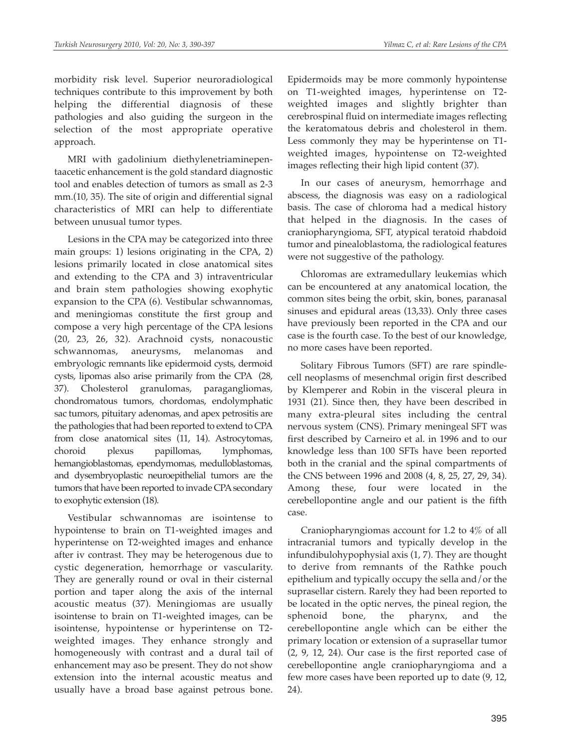morbidity risk level. Superior neuroradiological techniques contribute to this improvement by both helping the differential diagnosis of these pathologies and also guiding the surgeon in the selection of the most appropriate operative approach.

MRI with gadolinium diethylenetriaminepentaacetic enhancement is the gold standard diagnostic tool and enables detection of tumors as small as 2-3 mm.(10, 35). The site of origin and differential signal characteristics of MRI can help to differentiate between unusual tumor types.

Lesions in the CPA may be categorized into three main groups: 1) lesions originating in the CPA, 2) lesions primarily located in close anatomical sites and extending to the CPA and 3) intraventricular and brain stem pathologies showing exophytic expansion to the CPA (6). Vestibular schwannomas, and meningiomas constitute the first group and compose a very high percentage of the CPA lesions (20, 23, 26, 32). Arachnoid cysts, nonacoustic schwannomas, aneurysms, melanomas and embryologic remnants like epidermoid cysts, dermoid cysts, lipomas also arise primarily from the CPA (28, 37). Cholesterol granulomas, paragangliomas, chondromatous tumors, chordomas, endolymphatic sac tumors, pituitary adenomas, and apex petrositis are the pathologies that had been reported to extend to CPA from close anatomical sites (11, 14). Astrocytomas, choroid plexus papillomas, lymphomas, hemangioblastomas, ependymomas, medulloblastomas, and dysembryoplastic neuroepithelial tumors are the tumors that have been reported to invade CPA secondary to exophytic extension (18).

Vestibular schwannomas are isointense to hypointense to brain on T1-weighted images and hyperintense on T2-weighted images and enhance after iv contrast. They may be heterogenous due to cystic degeneration, hemorrhage or vascularity. They are generally round or oval in their cisternal portion and taper along the axis of the internal acoustic meatus (37). Meningiomas are usually isointense to brain on T1-weighted images, can be isointense, hypointense or hyperintense on T2 weighted images. They enhance strongly and homogeneously with contrast and a dural tail of enhancement may aso be present. They do not show extension into the internal acoustic meatus and usually have a broad base against petrous bone.

Epidermoids may be more commonly hypointense on T1-weighted images, hyperintense on T2 weighted images and slightly brighter than cerebrospinal fluid on intermediate images reflecting the keratomatous debris and cholesterol in them. Less commonly they may be hyperintense on T1 weighted images, hypointense on T2-weighted images reflecting their high lipid content (37).

In our cases of aneurysm, hemorrhage and abscess, the diagnosis was easy on a radiological basis. The case of chloroma had a medical history that helped in the diagnosis. In the cases of craniopharyngioma, SFT, atypical teratoid rhabdoid tumor and pinealoblastoma, the radiological features were not suggestive of the pathology.

Chloromas are extramedullary leukemias which can be encountered at any anatomical location, the common sites being the orbit, skin, bones, paranasal sinuses and epidural areas (13,33). Only three cases have previously been reported in the CPA and our case is the fourth case. To the best of our knowledge, no more cases have been reported.

Solitary Fibrous Tumors (SFT) are rare spindlecell neoplasms of mesenchmal origin first described by Klemperer and Robin in the visceral pleura in 1931 (21). Since then, they have been described in many extra-pleural sites including the central nervous system (CNS). Primary meningeal SFT was first described by Carneiro et al. in 1996 and to our knowledge less than 100 SFTs have been reported both in the cranial and the spinal compartments of the CNS between 1996 and 2008 (4, 8, 25, 27, 29, 34). Among these, four were located in the cerebellopontine angle and our patient is the fifth case.

Craniopharyngiomas account for 1.2 to 4% of all intracranial tumors and typically develop in the infundibulohypophysial axis (1, 7). They are thought to derive from remnants of the Rathke pouch epithelium and typically occupy the sella and/or the suprasellar cistern. Rarely they had been reported to be located in the optic nerves, the pineal region, the sphenoid bone, the pharynx, and the cerebellopontine angle which can be either the primary location or extension of a suprasellar tumor (2, 9, 12, 24). Our case is the first reported case of cerebellopontine angle craniopharyngioma and a few more cases have been reported up to date (9, 12, 24).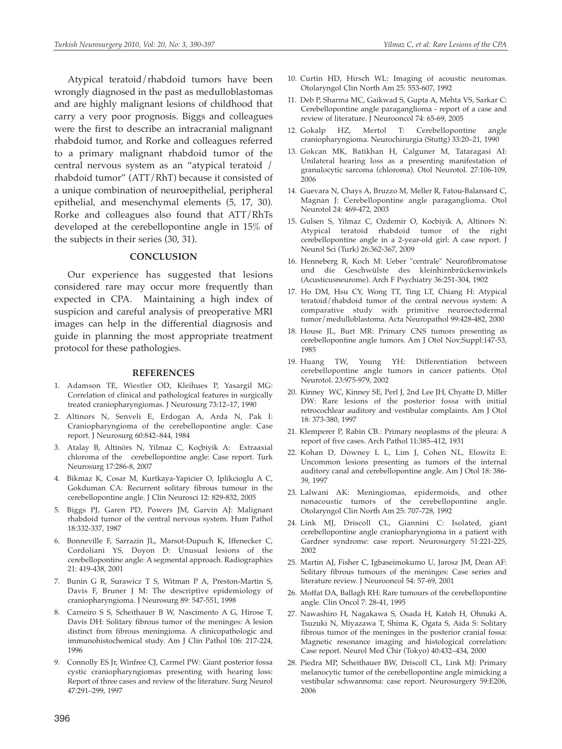Atypical teratoid/rhabdoid tumors have been wrongly diagnosed in the past as medulloblastomas and are highly malignant lesions of childhood that carry a very poor prognosis. Biggs and colleagues were the first to describe an intracranial malignant rhabdoid tumor, and Rorke and colleagues referred to a primary malignant rhabdoid tumor of the central nervous system as an "atypical teratoid / rhabdoid tumor" (ATT/RhT) because it consisted of a unique combination of neuroepithelial, peripheral epithelial, and mesenchymal elements (5, 17, 30). Rorke and colleagues also found that ATT/RhTs developed at the cerebellopontine angle in 15% of the subjects in their series (30, 31).

#### **CONCLUSION**

Our experience has suggested that lesions considered rare may occur more frequently than expected in CPA. Maintaining a high index of suspicion and careful analysis of preoperative MRI images can help in the differential diagnosis and guide in planning the most appropriate treatment protocol for these pathologies.

#### **REFERENCES**

- 1. Adamson TE, Wiestler OD, Kleihues P, Yasargil MG: Correlation of clinical and pathological features in surgically treated craniopharyngiomas. J Neurosurg 73:12–17, 1990
- 2. Altinors N, Senveli E, Erdogan A, Arda N, Pak I: Craniopharyngioma of the cerebellopontine angle: Case report. J Neurosurg 60:842–844, 1984
- 3. Atalay B, Altinörs N, Yilmaz C, Koçbiyik A: Extraaxial chloroma of the cerebellopontine angle: Case report. Turk Neurosurg 17:286-8, 2007
- 4. Bikmaz K, Cosar M, Kurtkaya-Yapicier O, Iplikcioglu A C, Gokduman CA: Recurrent solitary fibrous tumour in the cerebellopontine angle. J Clin Neurosci 12: 829-832, 2005
- 5. Biggs PJ, Garen PD, Powers JM, Garvin AJ: Malignant rhabdoid tumor of the central nervous system. Hum Pathol 18:332-337, 1987
- 6. Bonneville F, Sarrazin JL, Marsot-Dupuch K, Iffenecker C, Cordoliani YS, Doyon D: Unusual lesions of the cerebellopontine angle: A segmental approach. Radiographics 21: 419-438, 2001
- 7. Bunin G R, Surawicz T S, Witman P A, Preston-Martin S, Davis F, Bruner J M: The descriptive epidemiology of craniopharyngioma. J Neurosurg 89: 547-551, 1998
- 8. Carneiro S S, Scheithauer B W, Nascimento A G, Hirose T, Davis DH: Solitary fibrous tumor of the meninges: A lesion distinct from fibrous meningioma. A clinicopathologic and immunohistochemical study. Am J Clin Pathol 106: 217-224, 1996
- 9. Connolly ES Jr, Winfree CJ, Carmel PW: Giant posterior fossa cystic craniopharyngiomas presenting with hearing loss: Report of three cases and review of the literature. Surg Neurol 47:291–299, 1997
- 10. Curtin HD, Hirsch WL: Imaging of acoustic neuromas. Otolaryngol Clin North Am 25: 553-607, 1992
- 11. Deb P, Sharma MC, Gaikwad S, Gupta A, Mehta VS, Sarkar C: Cerebellopontine angle paraganglioma - report of a case and review of literature. J Neurooncol 74: 65-69, 2005
- 12. Gokalp HZ, Mertol T: Cerebellopontine angle craniopharyngioma. Neurochirurgia (Stuttg) 33:20–21, 1990
- 13. Gokcan MK, Batikhan H, Calguner M, Tataragasi AI: Unilateral hearing loss as a presenting manifestation of granulocytic sarcoma (chloroma). Otol Neurotol. 27:106-109, 2006
- 14. Guevara N, Chays A, Bruzzo M, Meller R, Fatou-Balansard C, Magnan J: Cerebellopontine angle paraganglioma. Otol Neurotol 24: 469-472, 2003
- 15. Gulsen S, Yilmaz C, Ozdemir O, Kocbiyik A, Altinors N: Atypical teratoid rhabdoid tumor of the right cerebellopontine angle in a 2-year-old girl: A case report. J Neurol Sci (Turk) 26:362-367, 2009
- 16. Henneberg R, Koch M: Ueber "centrale" Neurofibromatose und die Geschwülste des kleinhirnbrückenwinkels (Acusticusneurome). Arch F Psychiatry 36:251-304, 1902
- 17. Ho DM, Hsu CY, Wong TT, Ting LT, Chiang H: Atypical teratoid/rhabdoid tumor of the central nervous system: A comparative study with primitive neuroectodermal tumor/medulloblastoma. Acta Neuropathol 99:428-482, 2000
- 18. House JL, Burt MR: Primary CNS tumors presenting as cerebellopontine angle tumors. Am J Otol Nov;Suppl:147-53, 1985
- 19. Huang TW, Young YH: Differentiation between cerebellopontine angle tumors in cancer patients. Otol Neurotol. 23:975-979, 2002
- 20. Kinney WC, Kinney SE, Perl J, 2nd Lee JH, Chyatte D, Miller DW: Rare lesions of the posterior fossa with initial retrocochlear auditory and vestibular complaints. Am J Otol 18: 373-380, 1997
- 21. Klemperer P, Rabin CB.: Primary neoplasms of the pleura: A report of five cases. Arch Pathol 11:385–412, 1931
- 22. Kohan D, Downey L L, Lim J, Cohen NL, Elowitz E: Uncommon lesions presenting as tumors of the internal auditory canal and cerebellopontine angle. Am J Otol 18: 386- 39, 1997
- 23. Lalwani AK: Meningiomas, epidermoids, and other nonacoustic tumors of the cerebellopontine angle. Otolaryngol Clin North Am 25: 707-728, 1992
- 24. Link MJ, Driscoll CL, Giannini C: Isolated, giant cerebellopontine angle craniopharyngioma in a patient with Gardner syndrome: case report. Neurosurgery 51:221-225, 2002
- 25. Martin AJ, Fisher C, Igbaseimokumo U, Jarosz JM, Dean AF: Solitary fibrous tumours of the meninges: Case series and literature review. J Neurooncol 54: 57-69, 2001
- 26. Moffat DA, Ballagh RH: Rare tumours of the cerebellopontine angle. Clin Oncol 7: 28-41, 1995
- 27. Nawashiro H, Nagakawa S, Osada H, Katoh H, Ohnuki A, Tsuzuki N, Miyazawa T, Shima K, Ogata S, Aida S: Solitary fibrous tumor of the meninges in the posterior cranial fossa: Magnetic resonance imaging and histological correlation: Case report. Neurol Med Chir (Tokyo) 40:432–434, 2000
- 28. Piedra MP, Scheithauer BW, Driscoll CL, Link MJ: Primary melanocytic tumor of the cerebellopontine angle mimicking a vestibular schwannoma: case report. Neurosurgery 59:E206, 2006